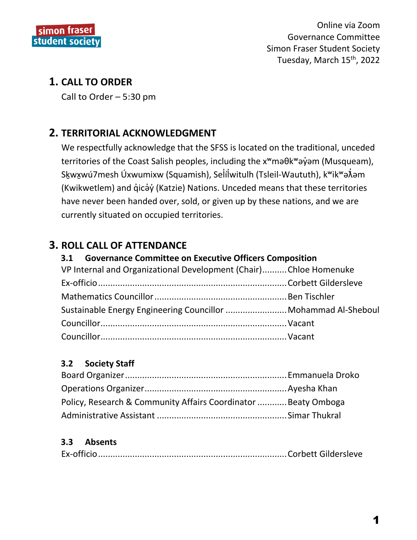

# **1. CALL TO ORDER**

Call to Order  $-5:30$  pm

# **2. TERRITORIAL ACKNOWLEDGMENT**

We respectfully acknowledge that the SFSS is located on the traditional, unceded territories of the Coast Salish peoples, including the x<sup>w</sup>ma0k<sup>w</sup>ayom (Musqueam), Skwxwú7mesh Úxwumixw (Squamish), Selílwitulh (Tsleil-Waututh), k<sup>w</sup>ik<sup>w</sup>a $\tilde{\lambda}$ əm (Kwikwetlem) and gicay (Katzie) Nations. Unceded means that these territories have never been handed over, sold, or given up by these nations, and we are currently situated on occupied territories.

# **3. ROLL CALL OF ATTENDANCE**

#### **Governance Committee on Executive Officers Composition**  $3.1$

| VP Internal and Organizational Development (Chair)Chloe Homenuke |  |
|------------------------------------------------------------------|--|
|                                                                  |  |
|                                                                  |  |
| Sustainable Energy Engineering Councillor  Mohammad Al-Sheboul   |  |
|                                                                  |  |
|                                                                  |  |

#### $3.2$ **Society Staff**

| Policy, Research & Community Affairs Coordinator  Beaty Omboga |  |
|----------------------------------------------------------------|--|
|                                                                |  |

#### $3.3$ **Absents**

|--|--|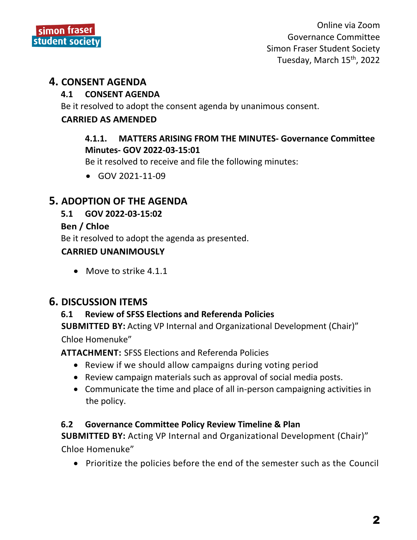

## **4. CONSENT AGENDA**

#### **4.1 CONSENT AGENDA**

Be it resolved to adopt the consent agenda by unanimous consent.

#### **CARRIED AS AMENDED**

## **4.1.1. MATTERS ARISING FROM THE MINUTES- Governance Committee Minutes- GOV 2022-03-15:01**

Be it resolved to receive and file the following minutes:

GOV 2021-11-09

# **5. ADOPTION OF THE AGENDA**

## **5.1 GOV 2022-03-15:02**

#### **Ben / Chloe**

Be it resolved to adopt the agenda as presented.

## **CARRIED UNANIMOUSLY**

• Move to strike 4.1.1

## **6. DISCUSSION ITEMS**

## **6.1 Review of SFSS Elections and Referenda Policies**

**SUBMITTED BY:** Acting VP Internal and Organizational Development (Chair)" Chloe Homenuke"

**ATTACHMENT:** SFSS Elections and Referenda Policies

- Review if we should allow campaigns during voting period
- Review campaign materials such as approval of social media posts.
- Communicate the time and place of all in-person campaigning activities in the policy.

## **6.2 Governance Committee Policy Review Timeline & Plan**

**SUBMITTED BY:** Acting VP Internal and Organizational Development (Chair)" Chloe Homenuke"

Prioritize the policies before the end of the semester such as the Council